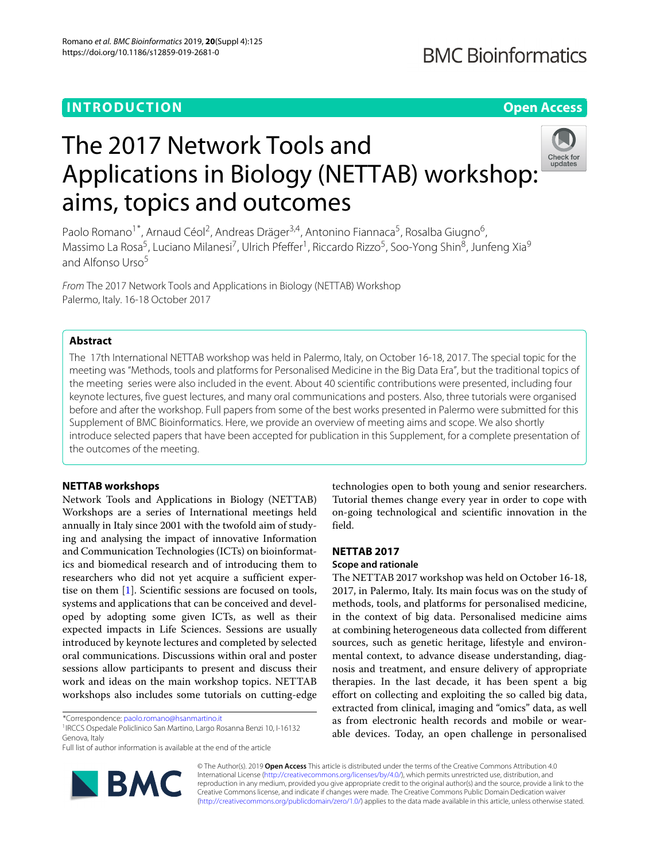## **INTRODUCTION** *Open Access*

# The 2017 Network Tools and Applications in Biology (NETTAB) workshop: aims, topics and outcomes



Paolo Romano<sup>1\*</sup>, Arnaud Céol<sup>2</sup>, Andreas Dräger<sup>3,4</sup>, Antonino Fiannaca<sup>5</sup>, Rosalba Giugno<sup>6</sup>, Massimo La Rosa<sup>5</sup>, Luciano Milanesi<sup>7</sup>, Ulrich Pfeffer<sup>1</sup>, Riccardo Rizzo<sup>5</sup>, Soo-Yong Shin<sup>8</sup>, Junfeng Xia<sup>9</sup> and Alfonso Urso<sup>5</sup>

From The 2017 Network Tools and Applications in Biology (NETTAB) Workshop Palermo, Italy. 16-18 October 2017

### **Abstract**

The 17th International NETTAB workshop was held in Palermo, Italy, on October 16-18, 2017. The special topic for the meeting was "Methods, tools and platforms for Personalised Medicine in the Big Data Era", but the traditional topics of the meeting series were also included in the event. About 40 scientific contributions were presented, including four keynote lectures, five guest lectures, and many oral communications and posters. Also, three tutorials were organised before and after the workshop. Full papers from some of the best works presented in Palermo were submitted for this Supplement of BMC Bioinformatics. Here, we provide an overview of meeting aims and scope. We also shortly introduce selected papers that have been accepted for publication in this Supplement, for a complete presentation of the outcomes of the meeting.

#### **NETTAB workshops**

Network Tools and Applications in Biology (NETTAB) Workshops are a series of International meetings held annually in Italy since 2001 with the twofold aim of studying and analysing the impact of innovative Information and Communication Technologies (ICTs) on bioinformatics and biomedical research and of introducing them to researchers who did not yet acquire a sufficient expertise on them [\[1\]](#page-7-0). Scientific sessions are focused on tools, systems and applications that can be conceived and developed by adopting some given ICTs, as well as their expected impacts in Life Sciences. Sessions are usually introduced by keynote lectures and completed by selected oral communications. Discussions within oral and poster sessions allow participants to present and discuss their work and ideas on the main workshop topics. NETTAB workshops also includes some tutorials on cutting-edge

\*Correspondence: [paolo.romano@hsanmartino.it](mailto: paolo.romano@hsanmartino.it)

**BMC** 



**NETTAB 2017 Scope and rationale**

field.

mental context, to advance disease understanding, diagnosis and treatment, and ensure delivery of appropriate therapies. In the last decade, it has been spent a big effort on collecting and exploiting the so called big data, extracted from clinical, imaging and "omics" data, as well as from electronic health records and mobile or wearable devices. Today, an open challenge in personalised

technologies open to both young and senior researchers. Tutorial themes change every year in order to cope with on-going technological and scientific innovation in the

The NETTAB 2017 workshop was held on October 16-18, 2017, in Palermo, Italy. Its main focus was on the study of methods, tools, and platforms for personalised medicine,

© The Author(s). 2019 **Open Access** This article is distributed under the terms of the Creative Commons Attribution 4.0 International License [\(http://creativecommons.org/licenses/by/4.0/\)](http://creativecommons.org/licenses/by/4.0/), which permits unrestricted use, distribution, and reproduction in any medium, provided you give appropriate credit to the original author(s) and the source, provide a link to the Creative Commons license, and indicate if changes were made. The Creative Commons Public Domain Dedication waiver [\(http://creativecommons.org/publicdomain/zero/1.0/\)](http://creativecommons.org/publicdomain/zero/1.0/) applies to the data made available in this article, unless otherwise stated.

<sup>1</sup>IRCCS Ospedale Policlinico San Martino, Largo Rosanna Benzi 10, I-16132 Genova, Italy

Full list of author information is available at the end of the article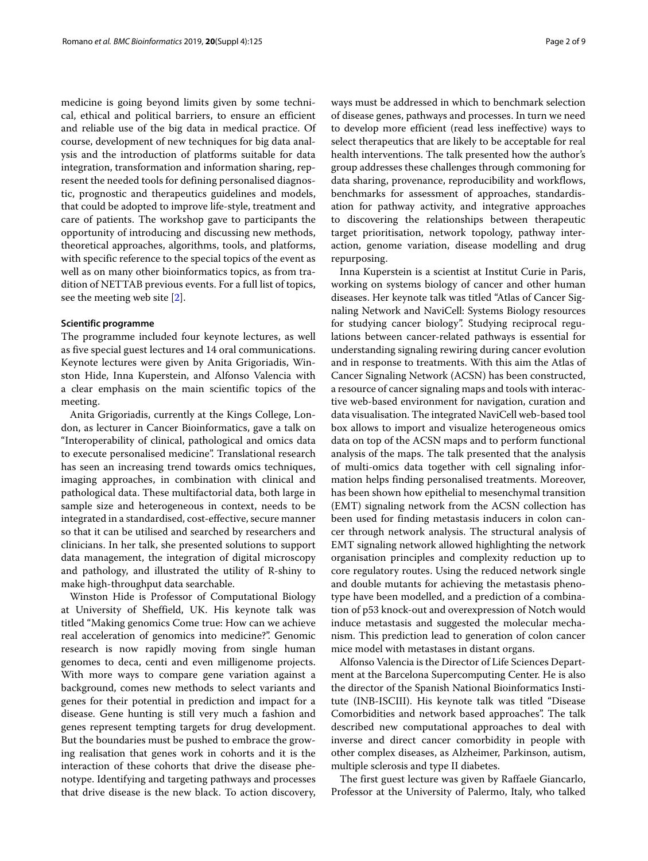medicine is going beyond limits given by some technical, ethical and political barriers, to ensure an efficient and reliable use of the big data in medical practice. Of course, development of new techniques for big data analysis and the introduction of platforms suitable for data integration, transformation and information sharing, represent the needed tools for defining personalised diagnostic, prognostic and therapeutics guidelines and models, that could be adopted to improve life-style, treatment and care of patients. The workshop gave to participants the opportunity of introducing and discussing new methods, theoretical approaches, algorithms, tools, and platforms, with specific reference to the special topics of the event as well as on many other bioinformatics topics, as from tradition of NETTAB previous events. For a full list of topics, see the meeting web site [\[2\]](#page-7-1).

#### **Scientific programme**

The programme included four keynote lectures, as well as five special guest lectures and 14 oral communications. Keynote lectures were given by Anita Grigoriadis, Winston Hide, Inna Kuperstein, and Alfonso Valencia with a clear emphasis on the main scientific topics of the meeting.

Anita Grigoriadis, currently at the Kings College, London, as lecturer in Cancer Bioinformatics, gave a talk on "Interoperability of clinical, pathological and omics data to execute personalised medicine". Translational research has seen an increasing trend towards omics techniques, imaging approaches, in combination with clinical and pathological data. These multifactorial data, both large in sample size and heterogeneous in context, needs to be integrated in a standardised, cost-effective, secure manner so that it can be utilised and searched by researchers and clinicians. In her talk, she presented solutions to support data management, the integration of digital microscopy and pathology, and illustrated the utility of R-shiny to make high-throughput data searchable.

Winston Hide is Professor of Computational Biology at University of Sheffield, UK. His keynote talk was titled "Making genomics Come true: How can we achieve real acceleration of genomics into medicine?". Genomic research is now rapidly moving from single human genomes to deca, centi and even milligenome projects. With more ways to compare gene variation against a background, comes new methods to select variants and genes for their potential in prediction and impact for a disease. Gene hunting is still very much a fashion and genes represent tempting targets for drug development. But the boundaries must be pushed to embrace the growing realisation that genes work in cohorts and it is the interaction of these cohorts that drive the disease phenotype. Identifying and targeting pathways and processes that drive disease is the new black. To action discovery,

ways must be addressed in which to benchmark selection of disease genes, pathways and processes. In turn we need to develop more efficient (read less ineffective) ways to select therapeutics that are likely to be acceptable for real health interventions. The talk presented how the author's group addresses these challenges through commoning for data sharing, provenance, reproducibility and workflows, benchmarks for assessment of approaches, standardisation for pathway activity, and integrative approaches to discovering the relationships between therapeutic target prioritisation, network topology, pathway interaction, genome variation, disease modelling and drug repurposing.

Inna Kuperstein is a scientist at Institut Curie in Paris, working on systems biology of cancer and other human diseases. Her keynote talk was titled "Atlas of Cancer Signaling Network and NaviCell: Systems Biology resources for studying cancer biology". Studying reciprocal regulations between cancer-related pathways is essential for understanding signaling rewiring during cancer evolution and in response to treatments. With this aim the Atlas of Cancer Signaling Network (ACSN) has been constructed, a resource of cancer signaling maps and tools with interactive web-based environment for navigation, curation and data visualisation. The integrated NaviCell web-based tool box allows to import and visualize heterogeneous omics data on top of the ACSN maps and to perform functional analysis of the maps. The talk presented that the analysis of multi-omics data together with cell signaling information helps finding personalised treatments. Moreover, has been shown how epithelial to mesenchymal transition (EMT) signaling network from the ACSN collection has been used for finding metastasis inducers in colon cancer through network analysis. The structural analysis of EMT signaling network allowed highlighting the network organisation principles and complexity reduction up to core regulatory routes. Using the reduced network single and double mutants for achieving the metastasis phenotype have been modelled, and a prediction of a combination of p53 knock-out and overexpression of Notch would induce metastasis and suggested the molecular mechanism. This prediction lead to generation of colon cancer mice model with metastases in distant organs.

Alfonso Valencia is the Director of Life Sciences Department at the Barcelona Supercomputing Center. He is also the director of the Spanish National Bioinformatics Institute (INB-ISCIII). His keynote talk was titled "Disease Comorbidities and network based approaches". The talk described new computational approaches to deal with inverse and direct cancer comorbidity in people with other complex diseases, as Alzheimer, Parkinson, autism, multiple sclerosis and type II diabetes.

The first guest lecture was given by Raffaele Giancarlo, Professor at the University of Palermo, Italy, who talked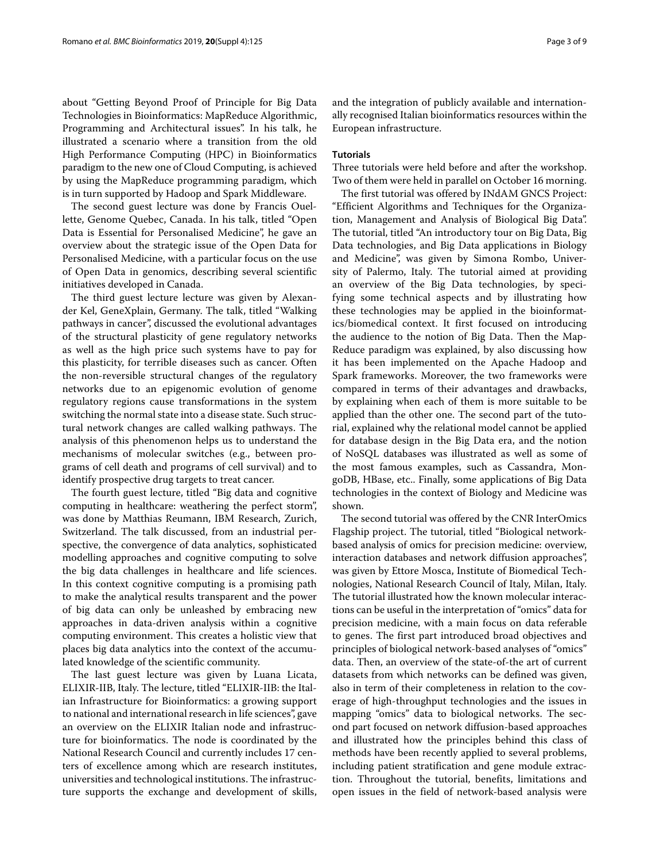about "Getting Beyond Proof of Principle for Big Data Technologies in Bioinformatics: MapReduce Algorithmic, Programming and Architectural issues". In his talk, he illustrated a scenario where a transition from the old High Performance Computing (HPC) in Bioinformatics paradigm to the new one of Cloud Computing, is achieved by using the MapReduce programming paradigm, which is in turn supported by Hadoop and Spark Middleware.

The second guest lecture was done by Francis Ouellette, Genome Quebec, Canada. In his talk, titled "Open Data is Essential for Personalised Medicine", he gave an overview about the strategic issue of the Open Data for Personalised Medicine, with a particular focus on the use of Open Data in genomics, describing several scientific initiatives developed in Canada.

The third guest lecture lecture was given by Alexander Kel, GeneXplain, Germany. The talk, titled "Walking pathways in cancer", discussed the evolutional advantages of the structural plasticity of gene regulatory networks as well as the high price such systems have to pay for this plasticity, for terrible diseases such as cancer. Often the non-reversible structural changes of the regulatory networks due to an epigenomic evolution of genome regulatory regions cause transformations in the system switching the normal state into a disease state. Such structural network changes are called walking pathways. The analysis of this phenomenon helps us to understand the mechanisms of molecular switches (e.g., between programs of cell death and programs of cell survival) and to identify prospective drug targets to treat cancer.

The fourth guest lecture, titled "Big data and cognitive computing in healthcare: weathering the perfect storm", was done by Matthias Reumann, IBM Research, Zurich, Switzerland. The talk discussed, from an industrial perspective, the convergence of data analytics, sophisticated modelling approaches and cognitive computing to solve the big data challenges in healthcare and life sciences. In this context cognitive computing is a promising path to make the analytical results transparent and the power of big data can only be unleashed by embracing new approaches in data-driven analysis within a cognitive computing environment. This creates a holistic view that places big data analytics into the context of the accumulated knowledge of the scientific community.

The last guest lecture was given by Luana Licata, ELIXIR-IIB, Italy. The lecture, titled "ELIXIR-IIB: the Italian Infrastructure for Bioinformatics: a growing support to national and international research in life sciences", gave an overview on the ELIXIR Italian node and infrastructure for bioinformatics. The node is coordinated by the National Research Council and currently includes 17 centers of excellence among which are research institutes, universities and technological institutions. The infrastructure supports the exchange and development of skills,

and the integration of publicly available and internationally recognised Italian bioinformatics resources within the European infrastructure.

#### **Tutorials**

Three tutorials were held before and after the workshop. Two of them were held in parallel on October 16 morning.

The first tutorial was offered by INdAM GNCS Project: "Efficient Algorithms and Techniques for the Organization, Management and Analysis of Biological Big Data". The tutorial, titled "An introductory tour on Big Data, Big Data technologies, and Big Data applications in Biology and Medicine", was given by Simona Rombo, University of Palermo, Italy. The tutorial aimed at providing an overview of the Big Data technologies, by specifying some technical aspects and by illustrating how these technologies may be applied in the bioinformatics/biomedical context. It first focused on introducing the audience to the notion of Big Data. Then the Map-Reduce paradigm was explained, by also discussing how it has been implemented on the Apache Hadoop and Spark frameworks. Moreover, the two frameworks were compared in terms of their advantages and drawbacks, by explaining when each of them is more suitable to be applied than the other one. The second part of the tutorial, explained why the relational model cannot be applied for database design in the Big Data era, and the notion of NoSQL databases was illustrated as well as some of the most famous examples, such as Cassandra, MongoDB, HBase, etc.. Finally, some applications of Big Data technologies in the context of Biology and Medicine was shown.

The second tutorial was offered by the CNR InterOmics Flagship project. The tutorial, titled "Biological networkbased analysis of omics for precision medicine: overview, interaction databases and network diffusion approaches", was given by Ettore Mosca, Institute of Biomedical Technologies, National Research Council of Italy, Milan, Italy. The tutorial illustrated how the known molecular interactions can be useful in the interpretation of "omics" data for precision medicine, with a main focus on data referable to genes. The first part introduced broad objectives and principles of biological network-based analyses of "omics" data. Then, an overview of the state-of-the art of current datasets from which networks can be defined was given, also in term of their completeness in relation to the coverage of high-throughput technologies and the issues in mapping "omics" data to biological networks. The second part focused on network diffusion-based approaches and illustrated how the principles behind this class of methods have been recently applied to several problems, including patient stratification and gene module extraction. Throughout the tutorial, benefits, limitations and open issues in the field of network-based analysis were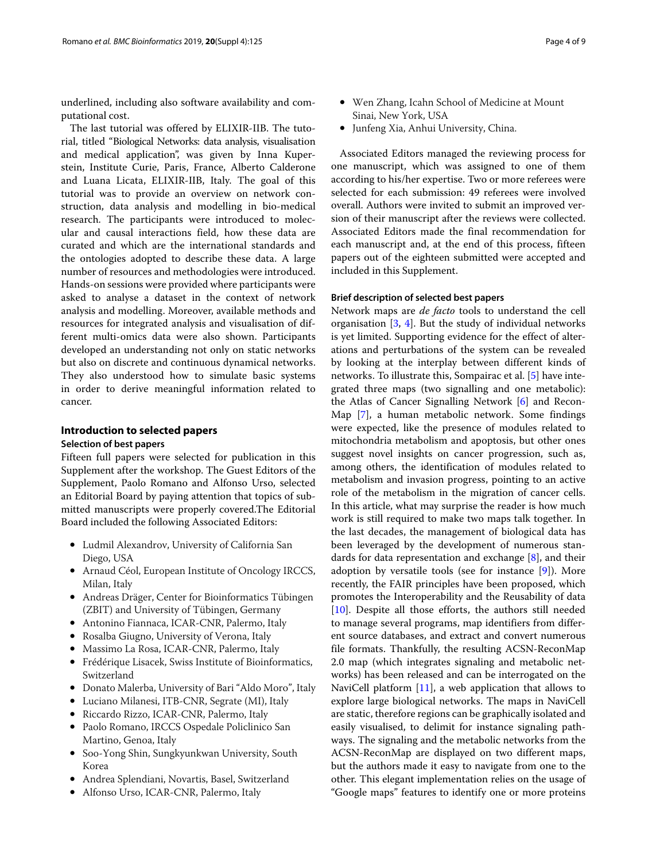underlined, including also software availability and computational cost.

The last tutorial was offered by ELIXIR-IIB. The tutorial, titled "Biological Networks: data analysis, visualisation and medical application", was given by Inna Kuperstein, Institute Curie, Paris, France, Alberto Calderone and Luana Licata, ELIXIR-IIB, Italy. The goal of this tutorial was to provide an overview on network construction, data analysis and modelling in bio-medical research. The participants were introduced to molecular and causal interactions field, how these data are curated and which are the international standards and the ontologies adopted to describe these data. A large number of resources and methodologies were introduced. Hands-on sessions were provided where participants were asked to analyse a dataset in the context of network analysis and modelling. Moreover, available methods and resources for integrated analysis and visualisation of different multi-omics data were also shown. Participants developed an understanding not only on static networks but also on discrete and continuous dynamical networks. They also understood how to simulate basic systems in order to derive meaningful information related to cancer.

#### **Introduction to selected papers Selection of best papers**

Fifteen full papers were selected for publication in this Supplement after the workshop. The Guest Editors of the Supplement, Paolo Romano and Alfonso Urso, selected an Editorial Board by paying attention that topics of submitted manuscripts were properly covered.The Editorial Board included the following Associated Editors:

- Ludmil Alexandrov, University of California San Diego, USA
- Arnaud Céol, European Institute of Oncology IRCCS, Milan, Italy
- Andreas Dräger, Center for Bioinformatics Tübingen (ZBIT) and University of Tübingen, Germany
- Antonino Fiannaca, ICAR-CNR, Palermo, Italy
- Rosalba Giugno, University of Verona, Italy
- Massimo La Rosa, ICAR-CNR, Palermo, Italy
- Frédérique Lisacek, Swiss Institute of Bioinformatics, Switzerland
- Donato Malerba, University of Bari "Aldo Moro", Italy
- Luciano Milanesi, ITB-CNR, Segrate (MI), Italy
- Riccardo Rizzo, ICAR-CNR, Palermo, Italy
- Paolo Romano, IRCCS Ospedale Policlinico San Martino, Genoa, Italy
- Soo-Yong Shin, Sungkyunkwan University, South Korea
- Andrea Splendiani, Novartis, Basel, Switzerland
- Alfonso Urso, ICAR-CNR, Palermo, Italy
- Wen Zhang, Icahn School of Medicine at Mount Sinai, New York, USA
- Junfeng Xia, Anhui University, China.

Associated Editors managed the reviewing process for one manuscript, which was assigned to one of them according to his/her expertise. Two or more referees were selected for each submission: 49 referees were involved overall. Authors were invited to submit an improved version of their manuscript after the reviews were collected. Associated Editors made the final recommendation for each manuscript and, at the end of this process, fifteen papers out of the eighteen submitted were accepted and included in this Supplement.

#### **Brief description of selected best papers**

Network maps are *de facto* tools to understand the cell organisation [\[3,](#page-7-2) [4\]](#page-7-3). But the study of individual networks is yet limited. Supporting evidence for the effect of alterations and perturbations of the system can be revealed by looking at the interplay between different kinds of networks. To illustrate this, Sompairac et al. [\[5\]](#page-7-4) have integrated three maps (two signalling and one metabolic): the Atlas of Cancer Signalling Network [\[6\]](#page-7-5) and Recon-Map [\[7\]](#page-7-6), a human metabolic network. Some findings were expected, like the presence of modules related to mitochondria metabolism and apoptosis, but other ones suggest novel insights on cancer progression, such as, among others, the identification of modules related to metabolism and invasion progress, pointing to an active role of the metabolism in the migration of cancer cells. In this article, what may surprise the reader is how much work is still required to make two maps talk together. In the last decades, the management of biological data has been leveraged by the development of numerous standards for data representation and exchange [\[8\]](#page-7-7), and their adoption by versatile tools (see for instance [\[9\]](#page-7-8)). More recently, the FAIR principles have been proposed, which promotes the Interoperability and the Reusability of data [\[10\]](#page-7-9). Despite all those efforts, the authors still needed to manage several programs, map identifiers from different source databases, and extract and convert numerous file formats. Thankfully, the resulting ACSN-ReconMap 2.0 map (which integrates signaling and metabolic networks) has been released and can be interrogated on the NaviCell platform [\[11\]](#page-7-10), a web application that allows to explore large biological networks. The maps in NaviCell are static, therefore regions can be graphically isolated and easily visualised, to delimit for instance signaling pathways. The signaling and the metabolic networks from the ACSN-ReconMap are displayed on two different maps, but the authors made it easy to navigate from one to the other. This elegant implementation relies on the usage of "Google maps" features to identify one or more proteins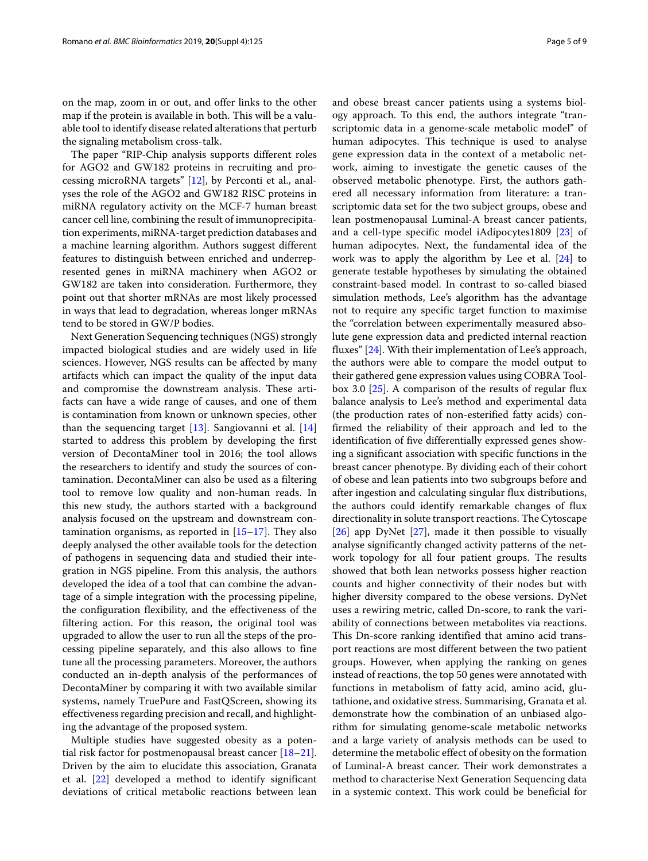on the map, zoom in or out, and offer links to the other map if the protein is available in both. This will be a valuable tool to identify disease related alterations that perturb the signaling metabolism cross-talk.

The paper "RIP-Chip analysis supports different roles for AGO2 and GW182 proteins in recruiting and processing microRNA targets" [\[12\]](#page-7-11), by Perconti et al., analyses the role of the AGO2 and GW182 RISC proteins in miRNA regulatory activity on the MCF-7 human breast cancer cell line, combining the result of immunoprecipitation experiments, miRNA-target prediction databases and a machine learning algorithm. Authors suggest different features to distinguish between enriched and underrepresented genes in miRNA machinery when AGO2 or GW182 are taken into consideration. Furthermore, they point out that shorter mRNAs are most likely processed in ways that lead to degradation, whereas longer mRNAs tend to be stored in GW/P bodies.

Next Generation Sequencing techniques (NGS) strongly impacted biological studies and are widely used in life sciences. However, NGS results can be affected by many artifacts which can impact the quality of the input data and compromise the downstream analysis. These artifacts can have a wide range of causes, and one of them is contamination from known or unknown species, other than the sequencing target  $[13]$ . Sangiovanni et al.  $[14]$ started to address this problem by developing the first version of DecontaMiner tool in 2016; the tool allows the researchers to identify and study the sources of contamination. DecontaMiner can also be used as a filtering tool to remove low quality and non-human reads. In this new study, the authors started with a background analysis focused on the upstream and downstream contamination organisms, as reported in  $[15-17]$  $[15-17]$ . They also deeply analysed the other available tools for the detection of pathogens in sequencing data and studied their integration in NGS pipeline. From this analysis, the authors developed the idea of a tool that can combine the advantage of a simple integration with the processing pipeline, the configuration flexibility, and the effectiveness of the filtering action. For this reason, the original tool was upgraded to allow the user to run all the steps of the processing pipeline separately, and this also allows to fine tune all the processing parameters. Moreover, the authors conducted an in-depth analysis of the performances of DecontaMiner by comparing it with two available similar systems, namely TruePure and FastQScreen, showing its effectiveness regarding precision and recall, and highlighting the advantage of the proposed system.

Multiple studies have suggested obesity as a potential risk factor for postmenopausal breast cancer  $[18-21]$  $[18-21]$ . Driven by the aim to elucidate this association, Granata et al. [\[22\]](#page-7-18) developed a method to identify significant deviations of critical metabolic reactions between lean and obese breast cancer patients using a systems biology approach. To this end, the authors integrate "transcriptomic data in a genome-scale metabolic model" of human adipocytes. This technique is used to analyse gene expression data in the context of a metabolic network, aiming to investigate the genetic causes of the observed metabolic phenotype. First, the authors gathered all necessary information from literature: a transcriptomic data set for the two subject groups, obese and lean postmenopausal Luminal-A breast cancer patients, and a cell-type specific model iAdipocytes1809 [\[23\]](#page-8-0) of human adipocytes. Next, the fundamental idea of the work was to apply the algorithm by Lee et al. [\[24\]](#page-8-1) to generate testable hypotheses by simulating the obtained constraint-based model. In contrast to so-called biased simulation methods, Lee's algorithm has the advantage not to require any specific target function to maximise the "correlation between experimentally measured absolute gene expression data and predicted internal reaction fluxes" [\[24\]](#page-8-1). With their implementation of Lee's approach, the authors were able to compare the model output to their gathered gene expression values using COBRA Toolbox 3.0 [\[25\]](#page-8-2). A comparison of the results of regular flux balance analysis to Lee's method and experimental data (the production rates of non-esterified fatty acids) confirmed the reliability of their approach and led to the identification of five differentially expressed genes showing a significant association with specific functions in the breast cancer phenotype. By dividing each of their cohort of obese and lean patients into two subgroups before and after ingestion and calculating singular flux distributions, the authors could identify remarkable changes of flux directionality in solute transport reactions. The Cytoscape  $[26]$  app DyNet  $[27]$ , made it then possible to visually analyse significantly changed activity patterns of the network topology for all four patient groups. The results showed that both lean networks possess higher reaction counts and higher connectivity of their nodes but with higher diversity compared to the obese versions. DyNet uses a rewiring metric, called Dn-score, to rank the variability of connections between metabolites via reactions. This Dn-score ranking identified that amino acid transport reactions are most different between the two patient groups. However, when applying the ranking on genes instead of reactions, the top 50 genes were annotated with functions in metabolism of fatty acid, amino acid, glutathione, and oxidative stress. Summarising, Granata et al. demonstrate how the combination of an unbiased algorithm for simulating genome-scale metabolic networks and a large variety of analysis methods can be used to determine the metabolic effect of obesity on the formation of Luminal-A breast cancer. Their work demonstrates a method to characterise Next Generation Sequencing data in a systemic context. This work could be beneficial for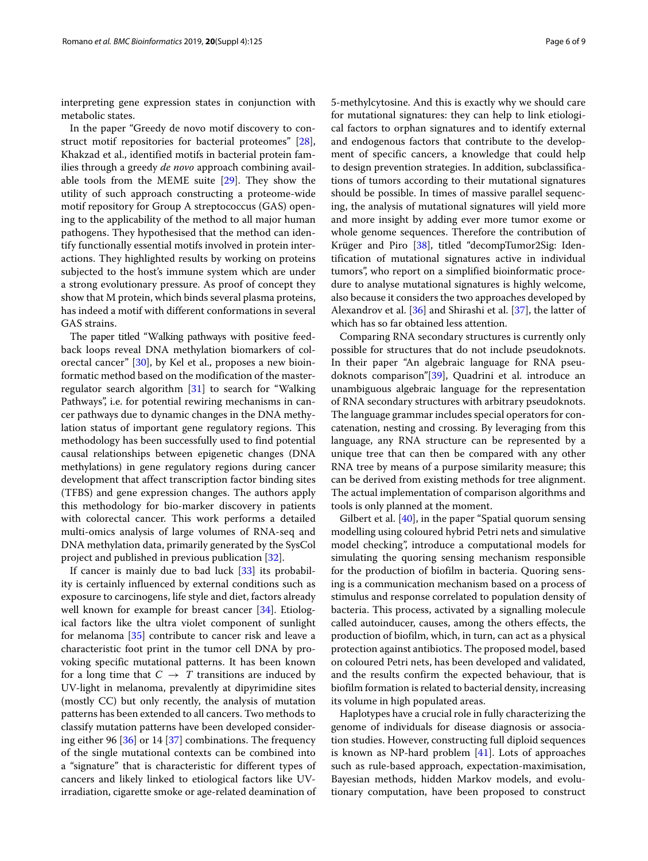interpreting gene expression states in conjunction with metabolic states.

In the paper "Greedy de novo motif discovery to construct motif repositories for bacterial proteomes" [\[28\]](#page-8-5), Khakzad et al., identified motifs in bacterial protein families through a greedy *de novo* approach combining available tools from the MEME suite [\[29\]](#page-8-6). They show the utility of such approach constructing a proteome-wide motif repository for Group A streptococcus (GAS) opening to the applicability of the method to all major human pathogens. They hypothesised that the method can identify functionally essential motifs involved in protein interactions. They highlighted results by working on proteins subjected to the host's immune system which are under a strong evolutionary pressure. As proof of concept they show that M protein, which binds several plasma proteins, has indeed a motif with different conformations in several GAS strains.

The paper titled "Walking pathways with positive feedback loops reveal DNA methylation biomarkers of colorectal cancer" [\[30\]](#page-8-7), by Kel et al., proposes a new bioinformatic method based on the modification of the masterregulator search algorithm [\[31\]](#page-8-8) to search for "Walking Pathways", i.e. for potential rewiring mechanisms in cancer pathways due to dynamic changes in the DNA methylation status of important gene regulatory regions. This methodology has been successfully used to find potential causal relationships between epigenetic changes (DNA methylations) in gene regulatory regions during cancer development that affect transcription factor binding sites (TFBS) and gene expression changes. The authors apply this methodology for bio-marker discovery in patients with colorectal cancer. This work performs a detailed multi-omics analysis of large volumes of RNA-seq and DNA methylation data, primarily generated by the SysCol project and published in previous publication [\[32\]](#page-8-9).

If cancer is mainly due to bad luck [\[33\]](#page-8-10) its probability is certainly influenced by external conditions such as exposure to carcinogens, life style and diet, factors already well known for example for breast cancer [\[34\]](#page-8-11). Etiological factors like the ultra violet component of sunlight for melanoma [\[35\]](#page-8-12) contribute to cancer risk and leave a characteristic foot print in the tumor cell DNA by provoking specific mutational patterns. It has been known for a long time that  $C \rightarrow T$  transitions are induced by UV-light in melanoma, prevalently at dipyrimidine sites (mostly CC) but only recently, the analysis of mutation patterns has been extended to all cancers. Two methods to classify mutation patterns have been developed considering either 96 [\[36\]](#page-8-13) or 14 [\[37\]](#page-8-14) combinations. The frequency of the single mutational contexts can be combined into a "signature" that is characteristic for different types of cancers and likely linked to etiological factors like UVirradiation, cigarette smoke or age-related deamination of 5-methylcytosine. And this is exactly why we should care for mutational signatures: they can help to link etiological factors to orphan signatures and to identify external and endogenous factors that contribute to the development of specific cancers, a knowledge that could help to design prevention strategies. In addition, subclassifications of tumors according to their mutational signatures should be possible. In times of massive parallel sequencing, the analysis of mutational signatures will yield more and more insight by adding ever more tumor exome or whole genome sequences. Therefore the contribution of Krüger and Piro [\[38\]](#page-8-15), titled "decompTumor2Sig: Identification of mutational signatures active in individual tumors", who report on a simplified bioinformatic procedure to analyse mutational signatures is highly welcome, also because it considers the two approaches developed by Alexandrov et al. [\[36\]](#page-8-13) and Shirashi et al. [\[37\]](#page-8-14), the latter of which has so far obtained less attention.

Comparing RNA secondary structures is currently only possible for structures that do not include pseudoknots. In their paper "An algebraic language for RNA pseudoknots comparison"[\[39\]](#page-8-16), Quadrini et al. introduce an unambiguous algebraic language for the representation of RNA secondary structures with arbitrary pseudoknots. The language grammar includes special operators for concatenation, nesting and crossing. By leveraging from this language, any RNA structure can be represented by a unique tree that can then be compared with any other RNA tree by means of a purpose similarity measure; this can be derived from existing methods for tree alignment. The actual implementation of comparison algorithms and tools is only planned at the moment.

Gilbert et al. [\[40\]](#page-8-17), in the paper "Spatial quorum sensing modelling using coloured hybrid Petri nets and simulative model checking", introduce a computational models for simulating the quoring sensing mechanism responsible for the production of biofilm in bacteria. Quoring sensing is a communication mechanism based on a process of stimulus and response correlated to population density of bacteria. This process, activated by a signalling molecule called autoinducer, causes, among the others effects, the production of biofilm, which, in turn, can act as a physical protection against antibiotics. The proposed model, based on coloured Petri nets, has been developed and validated, and the results confirm the expected behaviour, that is biofilm formation is related to bacterial density, increasing its volume in high populated areas.

Haplotypes have a crucial role in fully characterizing the genome of individuals for disease diagnosis or association studies. However, constructing full diploid sequences is known as NP-hard problem [\[41\]](#page-8-18). Lots of approaches such as rule-based approach, expectation-maximisation, Bayesian methods, hidden Markov models, and evolutionary computation, have been proposed to construct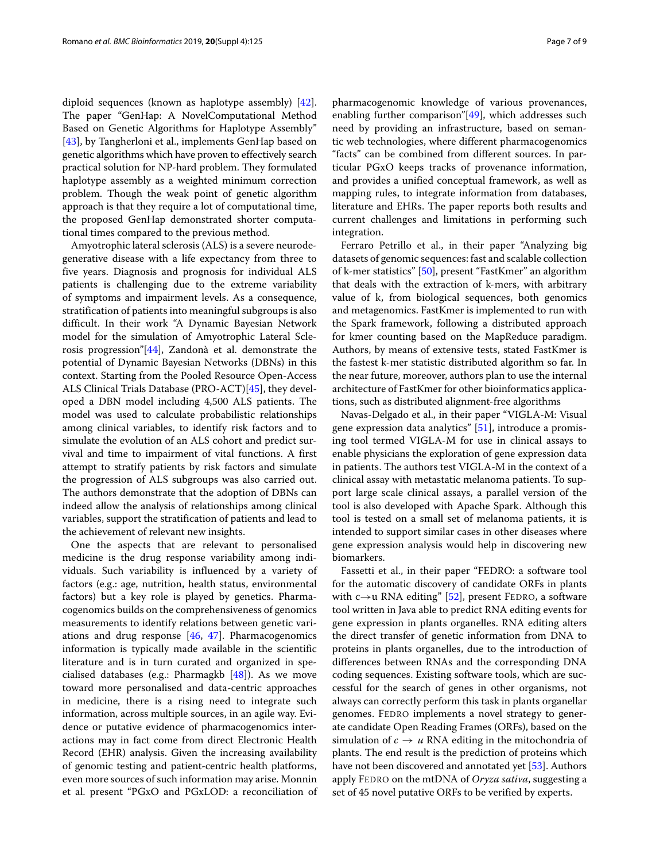diploid sequences (known as haplotype assembly) [\[42\]](#page-8-19). The paper "GenHap: A NovelComputational Method Based on Genetic Algorithms for Haplotype Assembly" [\[43\]](#page-8-20), by Tangherloni et al., implements GenHap based on genetic algorithms which have proven to effectively search practical solution for NP-hard problem. They formulated haplotype assembly as a weighted minimum correction problem. Though the weak point of genetic algorithm approach is that they require a lot of computational time, the proposed GenHap demonstrated shorter computational times compared to the previous method.

Amyotrophic lateral sclerosis (ALS) is a severe neurodegenerative disease with a life expectancy from three to five years. Diagnosis and prognosis for individual ALS patients is challenging due to the extreme variability of symptoms and impairment levels. As a consequence, stratification of patients into meaningful subgroups is also difficult. In their work "A Dynamic Bayesian Network model for the simulation of Amyotrophic Lateral Sclerosis progression"[\[44\]](#page-8-21), Zandonà et al. demonstrate the potential of Dynamic Bayesian Networks (DBNs) in this context. Starting from the Pooled Resource Open-Access ALS Clinical Trials Database (PRO-ACT)[\[45\]](#page-8-22), they developed a DBN model including 4,500 ALS patients. The model was used to calculate probabilistic relationships among clinical variables, to identify risk factors and to simulate the evolution of an ALS cohort and predict survival and time to impairment of vital functions. A first attempt to stratify patients by risk factors and simulate the progression of ALS subgroups was also carried out. The authors demonstrate that the adoption of DBNs can indeed allow the analysis of relationships among clinical variables, support the stratification of patients and lead to the achievement of relevant new insights.

One the aspects that are relevant to personalised medicine is the drug response variability among individuals. Such variability is influenced by a variety of factors (e.g.: age, nutrition, health status, environmental factors) but a key role is played by genetics. Pharmacogenomics builds on the comprehensiveness of genomics measurements to identify relations between genetic variations and drug response  $[46, 47]$  $[46, 47]$  $[46, 47]$ . Pharmacogenomics information is typically made available in the scientific literature and is in turn curated and organized in specialised databases (e.g.: Pharmagkb [\[48\]](#page-8-25)). As we move toward more personalised and data-centric approaches in medicine, there is a rising need to integrate such information, across multiple sources, in an agile way. Evidence or putative evidence of pharmacogenomics interactions may in fact come from direct Electronic Health Record (EHR) analysis. Given the increasing availability of genomic testing and patient-centric health platforms, even more sources of such information may arise. Monnin et al. present "PGxO and PGxLOD: a reconciliation of pharmacogenomic knowledge of various provenances, enabling further comparison"[\[49\]](#page-8-26), which addresses such need by providing an infrastructure, based on semantic web technologies, where different pharmacogenomics "facts" can be combined from different sources. In particular PGxO keeps tracks of provenance information, and provides a unified conceptual framework, as well as mapping rules, to integrate information from databases, literature and EHRs. The paper reports both results and current challenges and limitations in performing such integration.

Ferraro Petrillo et al., in their paper "Analyzing big datasets of genomic sequences: fast and scalable collection of k-mer statistics" [\[50\]](#page-8-27), present "FastKmer" an algorithm that deals with the extraction of k-mers, with arbitrary value of k, from biological sequences, both genomics and metagenomics. FastKmer is implemented to run with the Spark framework, following a distributed approach for kmer counting based on the MapReduce paradigm. Authors, by means of extensive tests, stated FastKmer is the fastest k-mer statistic distributed algorithm so far. In the near future, moreover, authors plan to use the internal architecture of FastKmer for other bioinformatics applications, such as distributed alignment-free algorithms

Navas-Delgado et al., in their paper "VIGLA-M: Visual gene expression data analytics" [\[51\]](#page-8-28), introduce a promising tool termed VIGLA-M for use in clinical assays to enable physicians the exploration of gene expression data in patients. The authors test VIGLA-M in the context of a clinical assay with metastatic melanoma patients. To support large scale clinical assays, a parallel version of the tool is also developed with Apache Spark. Although this tool is tested on a small set of melanoma patients, it is intended to support similar cases in other diseases where gene expression analysis would help in discovering new biomarkers.

Fassetti et al., in their paper "FEDRO: a software tool for the automatic discovery of candidate ORFs in plants with  $c \rightarrow u$  RNA editing" [\[52\]](#page-8-29), present FEDRO, a software tool written in Java able to predict RNA editing events for gene expression in plants organelles. RNA editing alters the direct transfer of genetic information from DNA to proteins in plants organelles, due to the introduction of differences between RNAs and the corresponding DNA coding sequences. Existing software tools, which are successful for the search of genes in other organisms, not always can correctly perform this task in plants organellar genomes. FEDRO implements a novel strategy to generate candidate Open Reading Frames (ORFs), based on the simulation of  $c \rightarrow u$  RNA editing in the mitochondria of plants. The end result is the prediction of proteins which have not been discovered and annotated yet [\[53\]](#page-8-30). Authors apply FEDRO on the mtDNA of *Oryza sativa*, suggesting a set of 45 novel putative ORFs to be verified by experts.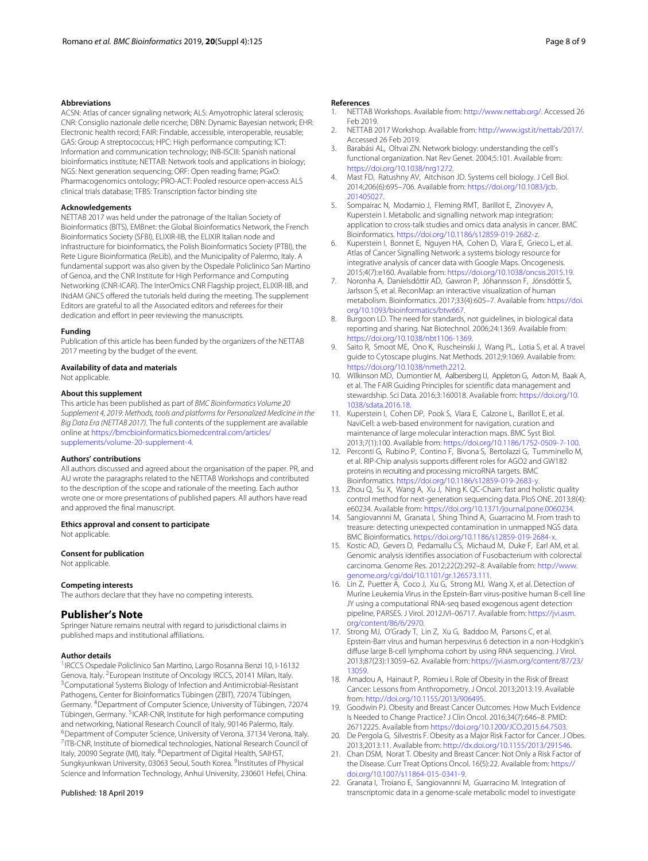#### **Abbreviations**

ACSN: Atlas of cancer signaling network; ALS: Amyotrophic lateral sclerosis; CNR: Consiglio nazionale delle ricerche; DBN: Dynamic Bayesian network; EHR: Electronic health record; FAIR: Findable, accessible, interoperable, reusable; GAS: Group A streptococcus; HPC: High performance computing; ICT: Information and communication technology; INB-ISCIII: Spanish national bioinformatics institute; NETTAB: Network tools and applications in biology; NGS: Next generation sequencing; ORF: Open reading frame; PGxO: Pharmacogenomics ontology; PRO-ACT: Pooled resource open-access ALS clinical trials database; TFBS: Transcription factor binding site

#### **Acknowledgements**

NETTAB 2017 was held under the patronage of the Italian Society of Bioinformatics (BITS), EMBnet: the Global Bioinformatics Network, the French Bioinformatics Society (SFBI), ELIXIR-IIB, the ELIXIR Italian node and infrastructure for bioinformatics, the Polish Bioinformatics Society (PTBI), the Rete Ligure Bioinformatica (ReLib), and the Municipality of Palermo, Italy. A fundamental support was also given by the Ospedale Policlinico San Martino of Genoa, and the CNR Institute for High Performance and Computing Networking (CNR-ICAR). The InterOmics CNR Flagship project, ELIXIR-IIB, and INdAM GNCS offered the tutorials held during the meeting. The supplement Editors are grateful to all the Associated editors and referees for their dedication and effort in peer reviewing the manuscripts.

#### **Funding**

Publication of this article has been funded by the organizers of the NETTAB 2017 meeting by the budget of the event.

#### **Availability of data and materials**

Not applicable.

#### **About this supplement**

This article has been published as part of BMC Bioinformatics Volume 20 Supplement 4, 2019: Methods, tools and platforms for Personalized Medicine in the Big Data Era (NETTAB 2017). The full contents of the supplement are available online at [https://bmcbioinformatics.biomedcentral.com/articles/](https://bmcbioinformatics.biomedcentral.com/articles/supplements/volume-20-supplement-4) [supplements/volume-20-supplement-4.](https://bmcbioinformatics.biomedcentral.com/articles/supplements/volume-20-supplement-4)

#### **Authors' contributions**

All authors discussed and agreed about the organisation of the paper. PR, and AU wrote the paragraphs related to the NETTAB Workshops and contributed to the description of the scope and rationale of the meeting. Each author wrote one or more presentations of published papers. All authors have read and approved the final manuscript.

#### **Ethics approval and consent to participate**

Not applicable.

#### **Consent for publication**

Not applicable.

#### **Competing interests**

The authors declare that they have no competing interests.

#### **Publisher's Note**

Springer Nature remains neutral with regard to jurisdictional claims in published maps and institutional affiliations.

#### **Author details**

<sup>1</sup> IRCCS Ospedale Policlinico San Martino, Largo Rosanna Benzi 10, I-16132 Genova, Italy. <sup>2</sup>European Institute of Oncology IRCCS, 20141 Milan, Italy. <sup>3</sup> Computational Systems Biology of Infection and Antimicrobial-Resistant Pathogens, Center for Bioinformatics Tübingen (ZBIT), 72074 Tübingen, Germany. 4Department of Computer Science, University of Tübingen, 72074 Tübingen, Germany. 5ICAR-CNR, Institute for high performance computing and networking, National Research Council of Italy, 90146 Palermo, Italy. 6Department of Computer Science, University of Verona, 37134 Verona, Italy. 7ITB-CNR, Institute of biomedical technologies, National Research Council of Italy, 20090 Segrate (MI), Italy. 8Department of Digital Health, SAIHST, Sungkyunkwan University, 03063 Seoul, South Korea. <sup>9</sup>Institutes of Physical Science and Information Technology, Anhui University, 230601 Hefei, China.

#### Published: 18 April 2019

#### **References**

- <span id="page-7-0"></span>1. NETTAB Workshops. Available from: [http://www.nettab.org/.](http://www.nettab.org/) Accessed 26 Feb 2019.
- <span id="page-7-1"></span>2. NETTAB 2017 Workshop. Available from: [http://www.igst.it/nettab/2017/.](http://www.igst.it/nettab/2017/) Accessed 26 Feb 2019.
- <span id="page-7-2"></span>3. Barabási AL, Oltvai ZN. Network biology: understanding the cell's functional organization. Nat Rev Genet. 2004;5:101. Available from: [https://doi.org/10.1038/nrg1272.](https://doi.org/10.1038/nrg1272)
- <span id="page-7-3"></span>4. Mast FD, Ratushny AV, Aitchison JD. Systems cell biology. J Cell Biol. 2014;206(6):695–706. Available from: [https://doi.org/10.1083/jcb.](https://doi.org/10.1083/jcb.201405027) [201405027.](https://doi.org/10.1083/jcb.201405027)
- <span id="page-7-4"></span>5. Sompairac N, Modamio J, Fleming RMT, Barillot E, Zinovyev A, Kuperstein I. Metabolic and signalling network map integration: application to cross-talk studies and omics data analysis in cancer. BMC Bioinformatics. [https://doi.org/10.1186/s12859-019-2682-z.](https://doi.org/10.1186/s12859-019-2682-z)
- <span id="page-7-5"></span>6. Kuperstein I, Bonnet E, Nguyen HA, Cohen D, Viara E, Grieco L, et al. Atlas of Cancer Signalling Network: a systems biology resource for integrative analysis of cancer data with Google Maps. Oncogenesis. 2015;4(7):e160. Available from: [https://doi.org/10.1038/oncsis.2015.19.](https://doi.org/10.1038/oncsis.2015.19)
- <span id="page-7-6"></span>7. Noronha A, Daníelsdóttir AD, Gawron P, Jóhannsson F, Jónsdóttir S, Jarlsson S, et al. ReconMap: an interactive visualization of human metabolism. Bioinformatics. 2017;33(4):605–7. Available from: [https://doi.](https://doi.org/10.1093/bioinformatics/btw667) [org/10.1093/bioinformatics/btw667.](https://doi.org/10.1093/bioinformatics/btw667)
- <span id="page-7-7"></span>Burgoon LD. The need for standards, not guidelines, in biological data reporting and sharing. Nat Biotechnol. 2006;24:1369. Available from: [https://doi.org/10.1038/nbt1106-1369.](https://doi.org/10.1038/nbt1106-1369)
- <span id="page-7-8"></span>9. Saito R, Smoot ME, Ono K, Ruscheinski J, Wang PL, Lotia S, et al. A travel guide to Cytoscape plugins. Nat Methods. 2012;9:1069. Available from: [https://doi.org/10.1038/nmeth.2212.](https://doi.org/10.1038/nmeth.2212)
- <span id="page-7-9"></span>10. Wilkinson MD, Dumontier M, Aalbersberg IJ, Appleton G, Axton M, Baak A, et al. The FAIR Guiding Principles for scientific data management and stewardship. Sci Data. 2016;3:160018. Available from: [https://doi.org/10.](https://doi.org/10.1038/sdata.2016.18) [1038/sdata.2016.18.](https://doi.org/10.1038/sdata.2016.18)
- <span id="page-7-10"></span>11. Kuperstein I, Cohen DP, Pook S, Viara E, Calzone L, Barillot E, et al. NaviCell: a web-based environment for navigation, curation and maintenance of large molecular interaction maps. BMC Syst Biol. 2013;7(1):100. Available from: [https://doi.org/10.1186/1752-0509-7-100.](https://doi.org/10.1186/1752-0509-7-100)
- <span id="page-7-11"></span>12. Perconti G, Rubino P, Contino F, Bivona S, Bertolazzi G, Tumminello M, et al. RIP-Chip analysis supports different roles for AGO2 and GW182 proteins in recruiting and processing microRNA targets. BMC Bioinformatics. [https://doi.org/10.1186/s12859-019-2683-y.](https://doi.org/10.1186/s12859-019-2683-y)
- <span id="page-7-12"></span>13. Zhou Q, Su X, Wang A, Xu J, Ning K. QC-Chain: fast and holistic quality control method for next-generation sequencing data. PloS ONE. 2013;8(4): e60234. Available from: [https://doi.org/10.1371/journal.pone.0060234.](https://doi.org/10.1371/journal.pone.0060234)
- <span id="page-7-13"></span>14. Sangiovannni M, Granata I, Shing Thind A, Guarracino M. From trash to treasure: detecting unexpected contamination in unmapped NGS data.
- <span id="page-7-14"></span>BMC Bioinformatics. [https://doi.org/10.1186/s12859-019-2684-x.](https://doi.org/10.1186/s12859-019-2684-x) 15. Kostic AD, Gevers D, Pedamallu CS, Michaud M, Duke F, Earl AM, et al. Genomic analysis identifies association of Fusobacterium with colorectal carcinoma. Genome Res. 2012;22(2):292–8. Available from: [http://www.](http://www.genome.org/cgi/doi/10.1101/gr.126573.111) [genome.org/cgi/doi/10.1101/gr.126573.111.](http://www.genome.org/cgi/doi/10.1101/gr.126573.111)
- 16. Lin Z, Puetter A, Coco J, Xu G, Strong MJ, Wang X, et al. Detection of Murine Leukemia Virus in the Epstein-Barr virus-positive human B-cell line JY using a computational RNA-seq based exogenous agent detection pipeline, PARSES. J Virol. 2012JVI–06717. Available from: [https://jvi.asm.](https://jvi.asm.org/content/86/6/2970) [org/content/86/6/2970.](https://jvi.asm.org/content/86/6/2970)
- <span id="page-7-15"></span>17. Strong MJ, O'Grady T, Lin Z, Xu G, Baddoo M, Parsons C, et al. Epstein-Barr virus and human herpesvirus 6 detection in a non-Hodgkin's diffuse large B-cell lymphoma cohort by using RNA sequencing. J Virol. 2013;87(23):13059–62. Available from: [https://jvi.asm.org/content/87/23/](https://jvi.asm.org/content/87/23/13059) [13059.](https://jvi.asm.org/content/87/23/13059)
- <span id="page-7-16"></span>18. Amadou A, Hainaut P, Romieu I. Role of Obesity in the Risk of Breast Cancer: Lessons from Anthropometry. J Oncol. 2013;2013:19. Available from: [http://doi.org/10.1155/2013/906495.](http://doi.org/10.1155/2013/906495)
- 19. Goodwin PJ. Obesity and Breast Cancer Outcomes: How Much Evidence Is Needed to Change Practice? J Clin Oncol. 2016;34(7):646–8. PMID: 26712225. Available from [https://doi.org/10.1200/JCO.2015.64.7503.](https://doi.org/10.1200/JCO.2015.64.7503)
- 20. De Pergola G, Silvestris F. Obesity as a Major Risk Factor for Cancer. J Obes. 2013;2013:11. Available from: [http://dx.doi.org/10.1155/2013/291546.](http://dx.doi.org/10.1155/2013/291546)
- <span id="page-7-17"></span>21. Chan DSM, Norat T. Obesity and Breast Cancer: Not Only a Risk Factor of the Disease. Curr Treat Options Oncol. 16(5):22. Available from: [https://](https://doi.org/10.1007/s11864-015-0341-9) [doi.org/10.1007/s11864-015-0341-9.](https://doi.org/10.1007/s11864-015-0341-9)
- <span id="page-7-18"></span>22. Granata I, Troiano E, Sangiovannni M, Guarracino M. Integration of transcriptomic data in a genome-scale metabolic model to investigate